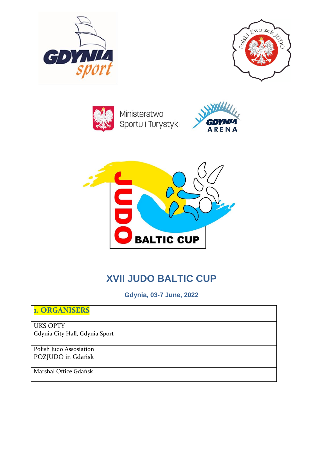





Ministerstwo Sportu i Turystyki





# **XVII JUDO BALTIC CUP**

**Gdynia, 03-7 June, 2022**

| <b>1. ORGANISERS</b>           |  |
|--------------------------------|--|
| <b>UKS OPTY</b>                |  |
| Gdynia City Hall, Gdynia Sport |  |
|                                |  |
| Polish Judo Assosiation        |  |
| POZJUDO in Gdańsk              |  |
|                                |  |
| Marshal Office Gdańsk          |  |
|                                |  |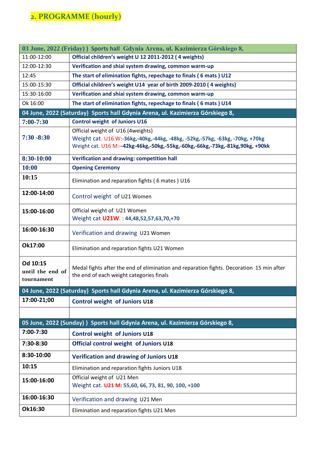# **2. PROGRAMME (hourly)**

| 03 June, 2022 (Friday) Sports hall Gdynia Arena, ul. Kazimierza Górskiego 8,   |                                                                                                                                                                                                    |  |
|--------------------------------------------------------------------------------|----------------------------------------------------------------------------------------------------------------------------------------------------------------------------------------------------|--|
| 11:00-12:00                                                                    | Official children's weight U 12 2011-2012 (4 weights)                                                                                                                                              |  |
| 12:00-12:30                                                                    | Verification and shiai system drawing, common warm-up                                                                                                                                              |  |
| 12:45                                                                          | The start of elimination fights, repechage to finals (6 mats) U12                                                                                                                                  |  |
| 15:00-15:30                                                                    | Official children's weight U14 year of birth 2009-2010 (4 weights)                                                                                                                                 |  |
| 15:30-16:00                                                                    | Verification and shiai system drawing, common warm-up                                                                                                                                              |  |
| Ok 16:00                                                                       | The start of elimination fights, repechage to finals (6 mats) U14                                                                                                                                  |  |
|                                                                                | 04 June, 2022 (Saturday) Sports hall Gdynia Arena, ul. Kazimierza Górskiego 8,                                                                                                                     |  |
| 7:00-7:30                                                                      | <b>Control weight of Juniors U16</b>                                                                                                                                                               |  |
| $7:30 - 8:30$                                                                  | Official weight of U16 (4weights)<br>Weight cat. U16 W:-36kg,-40kg,-44kg, -48kg, -52kg,-57kg, -63kg, -70kg, +70kg<br>Weight cat. U16 M:--42kg-46kg,-50kg,-55kg,-60kg,-66kg,-73kg,-81kg,90kg, +90kk |  |
| 8:30-10:00                                                                     | Verification and drawing: competition hall                                                                                                                                                         |  |
| 10:00                                                                          | <b>Opening Ceremony</b>                                                                                                                                                                            |  |
| 10:15                                                                          | Elimination and reparation fights (6 mates) U16                                                                                                                                                    |  |
| 12:00-14:00                                                                    | Control weight of U21 Women                                                                                                                                                                        |  |
| 15:00-16:00                                                                    | Official weight of U21 Women<br>Weight cat U21W.: 44,48,52,57,63,70,+70                                                                                                                            |  |
| 16:00-16:30                                                                    | Verification and drawing U21 Women                                                                                                                                                                 |  |
| Ok17:00                                                                        | Elimination and reparation fights U21 Women                                                                                                                                                        |  |
| Od 10:15<br>until the end of<br>tournament                                     | Medal fights after the end of elimination and reparation fights. Decoration 15 min after<br>the end of each weight categories finals                                                               |  |
|                                                                                | 04 June, 2022 (Saturday) Sports hall Gdynia Arena, ul. Kazimierza Górskiego 8,                                                                                                                     |  |
| 17:00-21;00                                                                    | Control weight of Juniors U18                                                                                                                                                                      |  |
|                                                                                |                                                                                                                                                                                                    |  |
| 05 June, 2022 (Sunday) ) Sports hall Gdynia Arena, ul. Kazimierza Górskiego 8, |                                                                                                                                                                                                    |  |
| 7:00-7:30                                                                      | <b>Control weight of Juniors U18</b>                                                                                                                                                               |  |
| 7:30-8:30                                                                      | Official control weight of Juniors U18                                                                                                                                                             |  |
| 8:30-10:00                                                                     | Verification and drawing of Juniors U18                                                                                                                                                            |  |
| 10:15                                                                          | Elimination and reparation fights Juniors U18                                                                                                                                                      |  |
| 15:00-16:00                                                                    | Official weight of U21 Men<br>Weight cat. U21 M: 55,60, 66, 73, 81, 90, 100, +100                                                                                                                  |  |
| 16:00-16:30                                                                    | Verification and drawing U21 Men                                                                                                                                                                   |  |
| Ok16:30                                                                        | Elimination and reparation fights U21 Men                                                                                                                                                          |  |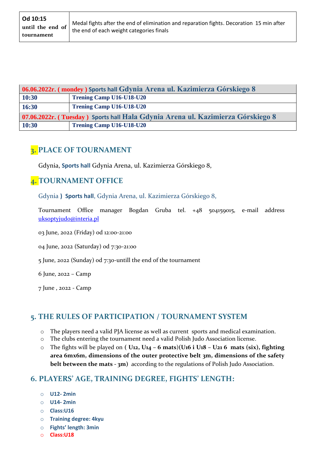| 06.06.2022r. (mondey) Sports hall Gdynia Arena ul. Kazimierza Górskiego 8       |                          |  |
|---------------------------------------------------------------------------------|--------------------------|--|
| 10:30                                                                           | Trening Camp U16-U18-U20 |  |
| 16:30                                                                           | Trening Camp U16-U18-U20 |  |
| 07.06.2022r. (Tuesday) Sports hall Hala Gdynia Arena ul. Kazimierza Górskiego 8 |                          |  |
| 10:30                                                                           | Trening Camp U16-U18-U20 |  |

## **3. PLACE OF TOURNAMENT**

Gdynia, **Sports hall** Gdynia Arena, ul. Kazimierza Górskiego 8,

### **4. TOURNAMENT OFFICE**

Gdynia **) Sports hall**, Gdynia Arena, ul. Kazimierza Górskiego 8,

Tournament Office manager Bogdan Gruba tel. +48 504159015, e-mail address [uksoptyjudo@interia.pl](mailto:uksoptyjudo@interia.pl)

03 June, 2022 (Friday) od 12:00-21:00

04 June, 2022 (Saturday) 0d 7:30-21:00

5 June, 2022 (Sunday) od 7:30-untill the end of the tournament

6 June, 2022 – Camp

7 June , 2022 - Camp

## **5. THE RULES OF PARTICIPATION / TOURNAMENT SYSTEM**

- o The players need a valid PJA license as well as current sports and medical examination.
- o The clubs entering the tournament need a valid Polish Judo Association license.
- o The fights will be played on **( U12, U14 – 6 mats**)**(U16 i U18 – U21 6 mats (six), fighting area 6mx6m, dimensions of the outer protective belt 3m, dimensions of the safety belt between the mats - 3m)** according to the regulations of Polish Judo Association.

### **6. PLAYERS' AGE, TRAINING DEGREE, FIGHTS' LENGTH:**

- o **U12- 2min**
- o **U14- 2min**
- o **Class:U16**
- o **Training degree: 4kyu**
- o **Fights' length: 3min**
- o **Class:U18**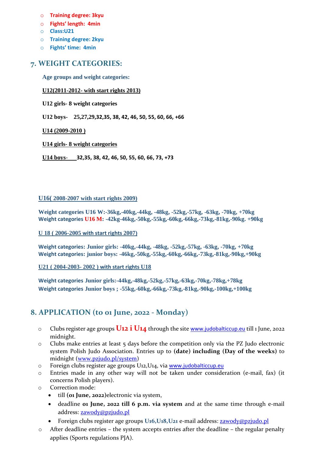- o **Training degree: 3kyu**
- o **Fights' length: 4min**
- o **Class:U21**
- o **Training degree: 2kyu**
- o **Fights' time: 4min**

### **7. WEIGHT CATEGORIES:**

**Age groups and weight categories:**

#### **U12(2011-2012- with start rights 2013)**

**U12 girls- 8 weight categories**

**U12 boys- 25,27,29,32,35, 38, 42, 46, 50, 55, 60, 66, +66**

**U14 (2009-2010 )**

**U14 girls- 8 weight categories**

**U14 boys**- **32,35, 38, 42, 46, 50, 55, 60, 66, 73, +73**

#### **U16( 2008-2007 with start rights 2009)**

**Weight categories U16 W:-36kg,-40kg,-44kg, -48kg, -52kg,-57kg, -63kg, -70kg, +70kg Weight categories U16 M: -42kg-46kg,-50kg,-55kg,-60kg,-66kg,-73kg,-81kg,-90kg. +90kg**

#### **U 18 ( 2006-2005 with start rights 2007)**

**Weight categories: Junior girls: -40kg,-44kg, -48kg, -52kg,-57kg, -63kg, -70kg, +70kg Weight categories: junior boys: -46kg,-50kg,-55kg,-60kg,-66kg,-73kg,-81kg,-90kg,+90kg**

**U21 ( 2004-2003- 2002 ) with start rights U18**

**Weight categories Junior girls:-44kg,-48kg,-52kg,-57kg,-63kg,-70kg,-78kg,+78kg Weight categories Junior boys ; -55kg,-60kg,-66kg,-73kg,-81kg,-90kg,-100kg,+100kg**

### **8. APPLICATION (to 01 June, 2022 - Monday)**

- o Clubs register age groups **U12 i U14** through the site [www.judobalticcup.eu](http://www.judobalticcup.eu/) till 1 June, 2022 midnight.
- $\circ$  Clubs make entries at least  $\frac{1}{2}$  days before the competition only via the PZ Judo electronic system Polish Judo Association. Entries up to **(date) including (Day of the weeks)** to midnight [\(www.pzjudo.pl/system\)](http://www.pzjudo.pl/system)
- o Foreign clubs register age groups U12,U14, via [www.judobalticcup.eu](http://www.judobalticcup.eu/)
- o Entries made in any other way will not be taken under consideration (e-mail, fax) (it concerns Polish players).
- o Correction mode:
	- till **(01 June, 2022)**electronic via system,
	- deadline **01 June, 2022 till 6 p.m. via system** and at the same time through e-mail address: [zawody@pzjudo.pl](mailto:zawody@pzjudo.pl)
	- Foreign clubs register age groups **U16,U18,U21** e-mail address: [zawody@pzjudo.pl](mailto:zawody@pzjudo.pl)
- $\circ$  After deadline entries the system accepts entries after the deadline the regular penalty applies (Sports regulations PJA).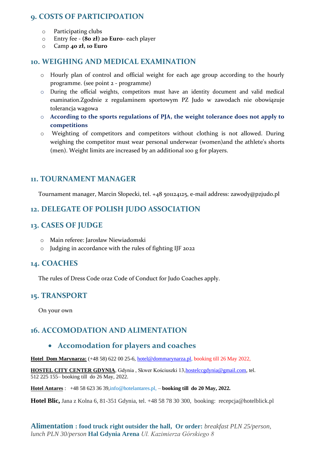### **9. COSTS OF PARTICIPOATION**

- o Participating clubs
- o Entry fee **(80 zł) 20 Euro** each player
- o Camp **40 zł, 10 Euro**

#### **10. WEIGHING AND MEDICAL EXAMINATION**

- o Hourly plan of control and official weight for each age group according to the hourly programme. (see point 2 - programme)
- o During the official weights, competitors must have an identity document and valid medical examination.Zgodnie z regulaminem sportowym PZ Judo w zawodach nie obowiązuje tolerancja wagowa
- o **According to the sports regulations of PJA, the weight tolerance does not apply to competitions**
- o Weighting of competitors and competitors without clothing is not allowed. During weighing the competitor must wear personal underwear (women)and the athlete's shorts (men). Weight limits are increased by an additional 100 g for players.

#### **11. TOURNAMENT MANAGER**

Tournament manager, Marcin Słopecki, tel. +48 501124125, e-mail address: zawody@pzjudo.pl

#### **12. DELEGATE OF POLISH JUDO ASSOCIATION**

#### **13. CASES OF JUDGE**

- o Main referee: Jarosław Niewiadomski
- o Judging in accordance with the rules of fighting IJF 2022

#### **14. COACHES**

The rules of Dress Code oraz Code of Conduct for Judo Coaches apply.

#### **15. TRANSPORT**

On your own

### **16. ACCOMODATION AND ALIMENTATION**

#### • **Accomodation for players and coaches**

**Hotel Dom Marynarza:** (+48 58) 622 00 25-6, [hotel@dommarynarza.pl,](mailto:hotel@dommarynarza.pl) booking till 26 May 2022,

HOSTEL CITY CENTER GDYNIA, Gdynia, Skwer Kościuszki 13, hostelccgdynia@gmail.com, tel. 512 225 155– booking till do 26 May, 2022.

#### **Hotel Antares** : +48 58 623 36 3[9,info@hotelantares.pl,](mailto:info@hotelantares.pl) – **booking till do 20 May, 2022.**

**Hotel Blic,** Jana z Kolna 6, 81-351 Gdynia, tel. +48 58 78 30 300, booking: recepcja@hotelblick.pl

**Alimentation : food truck right outsider the hall, Or order:** *breakfast PLN 25/person, lunch PLN 30/person* **Hal Gdynia Arena** *Ul. Kazimierza Górskiego 8*